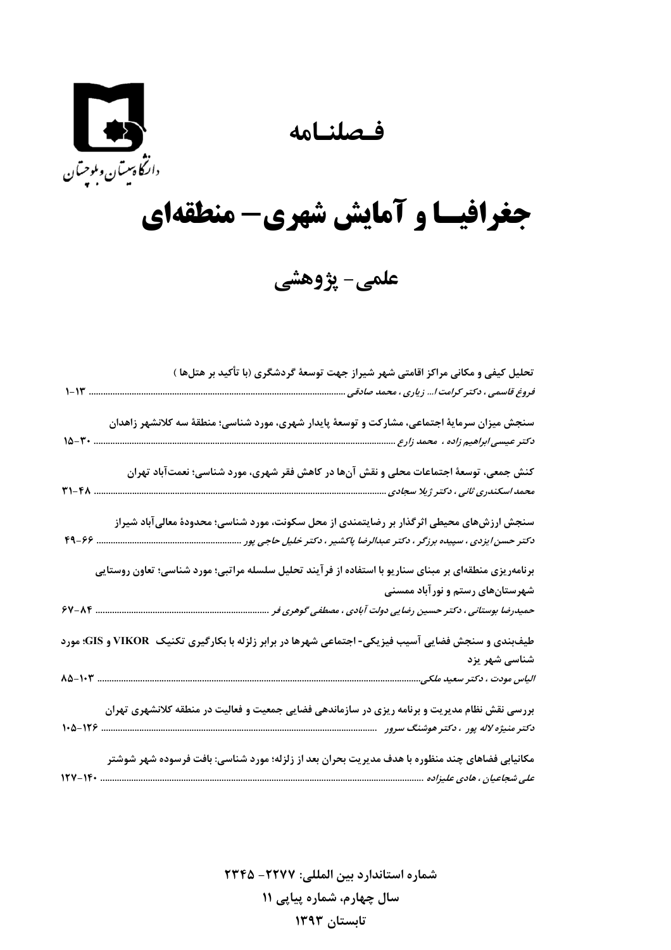## فصلنامه



## جغرافیسا و آمایش شهری- منطقهای

علمی- پژوهشی

|          | تحلیل کیفی و مکانی مراکز اقامتی شهر شیراز جهت توسعهٔ گردشگری (با تأکید بر هتلها )                                                                                        |
|----------|--------------------------------------------------------------------------------------------------------------------------------------------------------------------------|
| $1 - 11$ | فروغ قاسمی ، دکتر کرامت ا زیاری ، محمد صادقی                                                                                                                             |
|          | سنجش میزان سرمایهٔ اجتماعی، مشارکت و توسعهٔ پایدار شهری، مورد شناسی؛ منطقهٔ سه کلانشهر زاهدان<br>14-7 -                                                                  |
| ٣١-۴٨    | کنش جمعی، توسعهٔ اجتماعات محلی و نقش آنها در کاهش فقر شهری، مورد شناسی؛ نعمتآباد تهران                                                                                   |
|          | سنجش ارزشهای محیطی اثرگذار بر رضایتمندی از محل سکونت، مورد شناسی؛ محدودهٔ معالی آباد شیراز<br>دکتر حسن ایزدی ، سپیده برزگر ، دکتر عبدالرضا پاکشیر ، دکتر خلیل حاجی پور . |
|          | برنامهریزی منطقهای بر مبنای سناریو با استفاده از فر آیند تحلیل سلسله مراتبی؛ مورد شناسی؛ تعاون روستایی<br>شهرستانهای رستم و نورآباد ممسنی                                |
|          |                                                                                                                                                                          |
|          | طیفبندی و سنجش فضایی آسیب فیزیکی- اجتماعی شهرها در برابر زلزله با بکارگیری تکنیک  VIKOR و GIS؛ مورد<br>شناسی شهر یزد                                                     |
|          |                                                                                                                                                                          |
|          | بررسی نقش نظام مدیریت و برنامه ریزی در سازماندهی فضایی جمعیت و فعالیت در منطقه کلانشهری تهران                                                                            |
| $17Y-15$ | مکانیابی فضاهای چند منظوره با هدف مدیریت بحران بعد از زلزله؛ مورد شناسی: بافت فرسوده شهر شوشتر<br>علی شجاعیان ، هادی علیزاده                                             |

شماره استاندارد بين المللي: ٢٢٧٧- ٢٣٤٥ سال چهارم، شماره پیاپی ۱۱ تابستان ۱۳۹۳